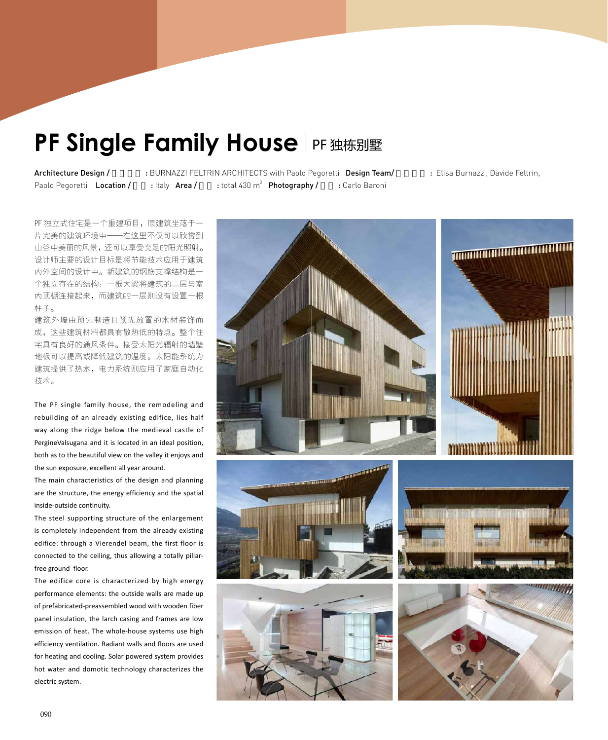## **PF Single Family House FF 独栋别墅**

Paolo Pegoretti Location / : Italy Area /

: total  $430 \text{ m}^2$  **Photography / :** Carlo Baroni

Architecture Design / : BURNAZZI FELTRIN ARCHITECTS with Paolo Pegoretti Design Team/ : Elisa Burnazzi, Davide Feltrin,

PF 独立式住宅是一个重建项目,原建筑坐落于一 片完美的建筑环境中——在这里不仅可以欣赏到 山谷中美丽的风景,还可以享受充足的阳光照射。 设计师主要的设计目标是将节能技术应用于建筑 内外空间的设计中。新建筑的钢筋支撑结构是一 个独立存在的结构:一根大梁将建筑的二层与室 内顶棚连接起来,而建筑的一层则没有设置一根 柱子。

建筑外墙由预先制造且预先放置的木材装饰而 成,这些建筑材料都具有散热低的特点。整个住 宅具有良好的通风条件。接受太阳光辐射的墙壁 地板可以提高或降低建筑的温度。太阳能系统为 建筑提供了热水,电力系统则应用了家庭自动化 技术。

The PF single family house, the remodeling and rebuilding of an already existing edifice, lies half way along the ridge below the medieval castle of PergineValsugana and it is located in an ideal position, both as to the beautiful view on the valley it enjoys and the sun exposure, excellent all year around.

The main characteristics of the design and planning are the structure, the energy efficiency and the spatial inside-outside continuity.

The steel supporting structure of the enlargement is completely independent from the already existing edifice: through a Vierendel beam, the first floor is connected to the ceiling, thus allowing a totally pillarfree ground floor.

The edifice core is characterized by high energy performance elements: the outside walls are made up of prefabricated-preassembled wood with wooden fiber panel insulation, the larch casing and frames are low emission of heat. The whole-house systems use high efficiency ventilation. Radiant walls and floors are used for heating and cooling. Solar powered system provides hot water and domotic technology characterizes the electric system.

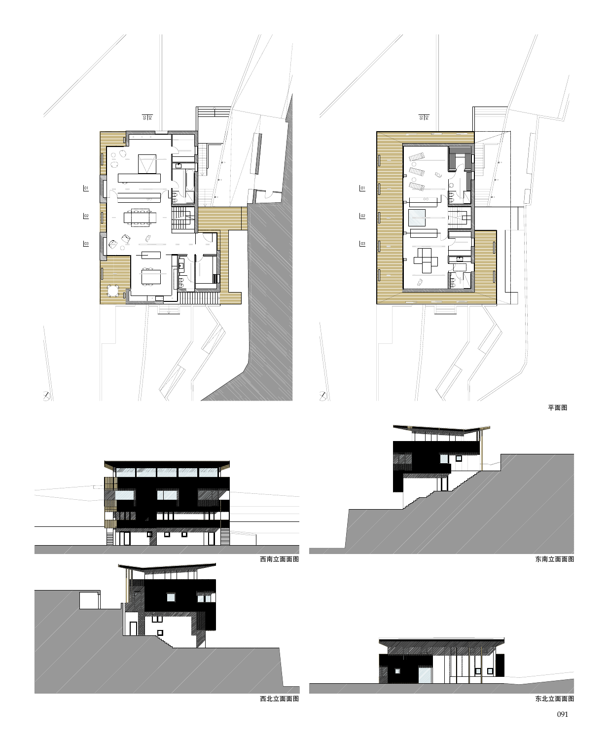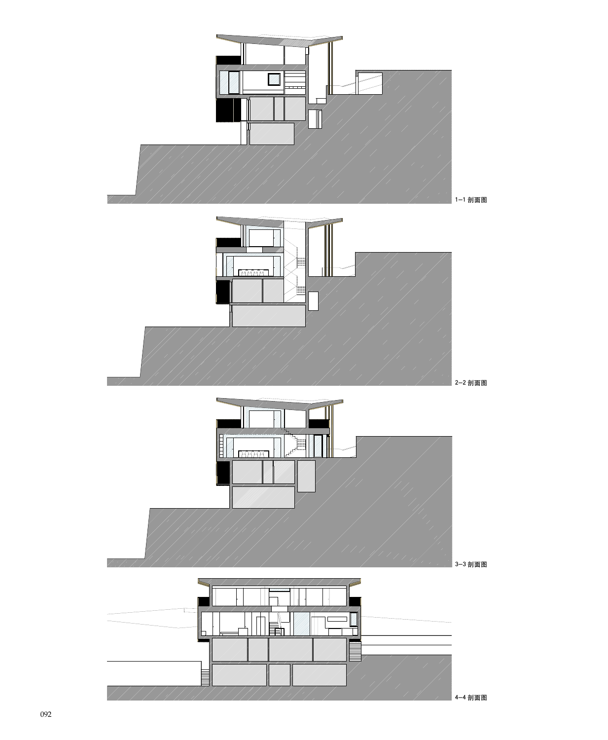